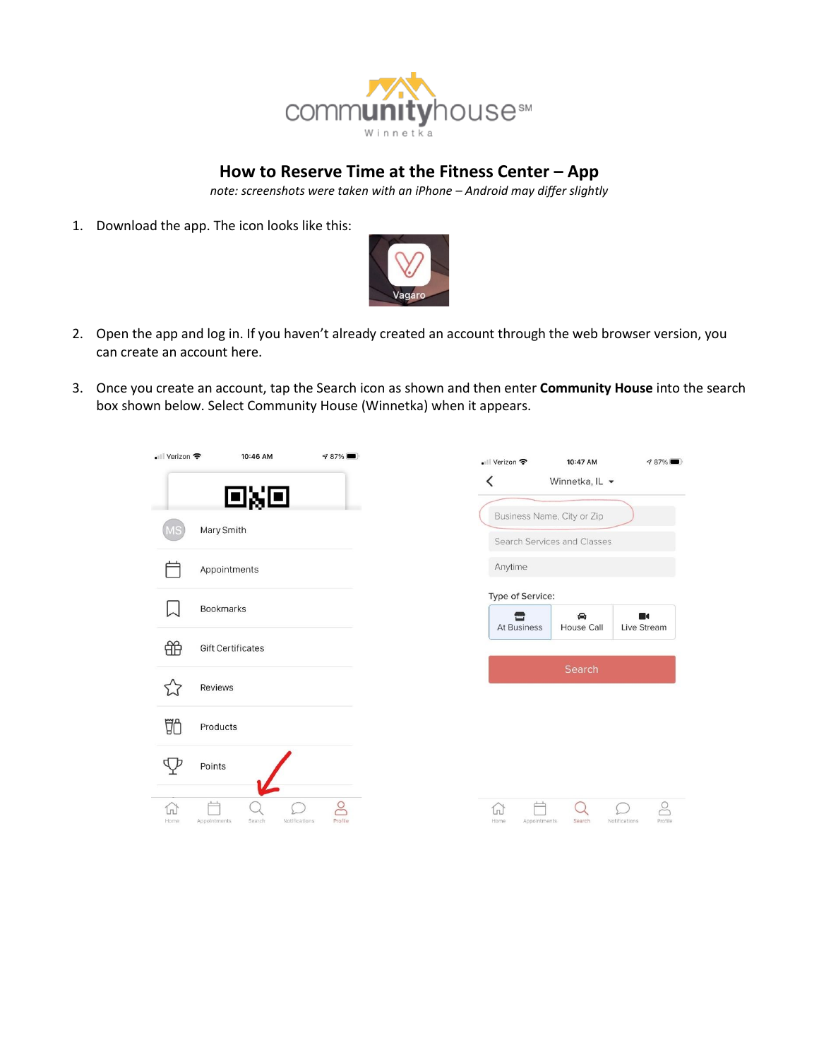

## **How to Reserve Time at the Fitness Center – App**

*note: screenshots were taken with an iPhone – Android may differ slightly*

1. Download the app. The icon looks like this:



- 2. Open the app and log in. If you haven't already created an account through the web browser version, you can create an account here.
- 3. Once you create an account, tap the Search icon as shown and then enter **Community House** into the search box shown below. Select Community House (Winnetka) when it appears.

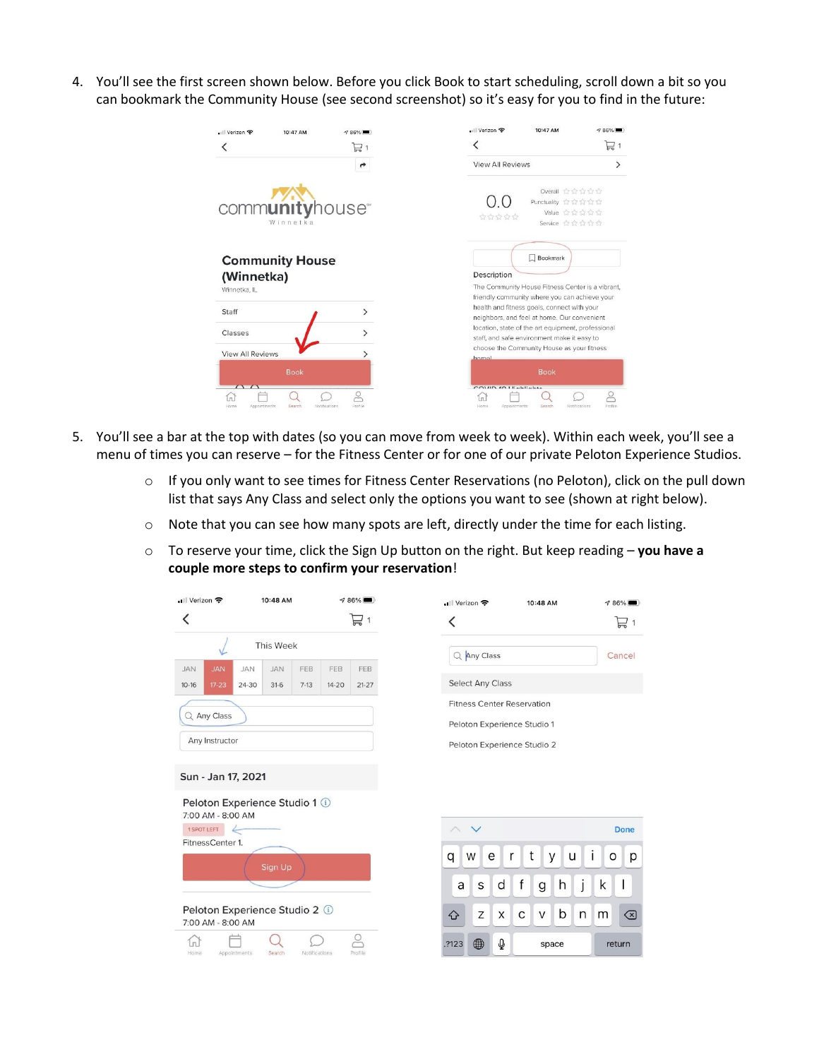4. You'll see the first screen shown below. Before you click Book to start scheduling, scroll down a bit so you can bookmark the Community House (see second screenshot) so it's easy for you to find in the future:

| . Verizon <del>©</del><br>10:47 AM<br>4 86%                | . Verizon କ<br>10:47 AM<br>$\n  7.86\%$                                                                                                                                                         |
|------------------------------------------------------------|-------------------------------------------------------------------------------------------------------------------------------------------------------------------------------------------------|
| 묘1                                                         | $\Box$ 1                                                                                                                                                                                        |
|                                                            | <b>View All Reviews</b>                                                                                                                                                                         |
| communityhouse<br>Winnetka                                 | Overall ☆☆☆☆☆<br>Punctuality ☆☆☆☆☆<br>Value ☆☆☆☆☆<br>습습습습<br>Service ☆☆☆☆☆                                                                                                                      |
| <b>Community House</b><br>(Winnetka)<br>Winnetka, IL       | Bookmark<br>Description<br>The Community House Fitness Center is a vibrant,<br>friendly community where you can achieve your                                                                    |
| Staff<br>Classes                                           | health and fitness goals, connect with your<br>neighbors, and feel at home. Our convenient<br>location, state of the art equipment, professional<br>staff, and safe environment make it easy to |
| <b>View All Reviews</b>                                    | choose the Community House as your fitness<br>homel                                                                                                                                             |
| <b>Book</b>                                                | <b>Book</b><br>$COVID$ 40 LE-LE-LA                                                                                                                                                              |
| Search<br>Profile<br>Home<br>Appointments<br>Notifications | $\approx$<br>n<br>Profile.<br>Home<br>Search<br>Notifications<br>Appointments                                                                                                                   |

- 5. You'll see a bar at the top with dates (so you can move from week to week). Within each week, you'll see a menu of times you can reserve – for the Fitness Center or for one of our private Peloton Experience Studios.
	- o If you only want to see times for Fitness Center Reservations (no Peloton), click on the pull down list that says Any Class and select only the options you want to see (shown at right below).
	- o Note that you can see how many spots are left, directly under the time for each listing.
	- o To reserve your time, click the Sign Up button on the right. But keep reading **you have a couple more steps to confirm your reservation**!

| • Verizon କ                                                              |              | 10:48 AM             |               |                  | $986\%$                    | • Verizon <del>२</del> |                                   |           |             | 10:48 AM |   |   |   | $\sqrt{86\%}$              |
|--------------------------------------------------------------------------|--------------|----------------------|---------------|------------------|----------------------------|------------------------|-----------------------------------|-----------|-------------|----------|---|---|---|----------------------------|
|                                                                          |              |                      |               |                  | $\overleftrightarrow{E}$ 1 | K                      |                                   |           |             |          |   |   |   | $\overline{\phantom{1}}$ 1 |
|                                                                          |              | <b>This Week</b>     |               |                  |                            |                        | Q Any Class                       |           |             |          |   |   |   | Cancel                     |
| <b>JAN</b><br><b>JAN</b><br>$17 - 23$<br>$10 - 16$                       | JAN<br>24-30 | <b>JAN</b><br>$31-6$ | FEB<br>$7-13$ | FEB<br>$14 - 20$ | FEB<br>$21-27$             |                        | <b>Select Any Class</b>           |           |             |          |   |   |   |                            |
|                                                                          |              |                      |               |                  |                            |                        | <b>Fitness Center Reservation</b> |           |             |          |   |   |   |                            |
| Q Any Class                                                              |              |                      |               |                  |                            |                        | Peloton Experience Studio 1       |           |             |          |   |   |   |                            |
| Any Instructor                                                           |              |                      |               |                  |                            |                        | Peloton Experience Studio 2       |           |             |          |   |   |   |                            |
| Sun - Jan 17, 2021<br>Peloton Experience Studio 1 1<br>7:00 AM - 8:00 AM |              |                      |               |                  |                            |                        |                                   |           |             |          |   |   |   |                            |
| 1 SPOT LEFT                                                              |              |                      |               |                  |                            | $\wedge$               | $\checkmark$                      |           |             |          |   |   |   | <b>Done</b>                |
| FitnessCenter 1.                                                         |              | Sign Up              |               |                  |                            | q                      | W                                 | e<br>r    | t           | У        | u |   | O | p                          |
|                                                                          |              |                      |               |                  |                            | a                      | S                                 | d         | $\mathsf f$ | g        | h | J | k |                            |
| Peloton Experience Studio 2 1<br>7:00 AM - 8:00 AM                       |              |                      |               |                  |                            | ⇧                      | Z                                 | X         | С           | V        | b | n | m | ⊗                          |
| Home                                                                     | Appointments | Search               | Notifications |                  | $\circ$<br>Profile         | .?123                  | 4                                 | $\varrho$ |             | space    |   |   |   | return                     |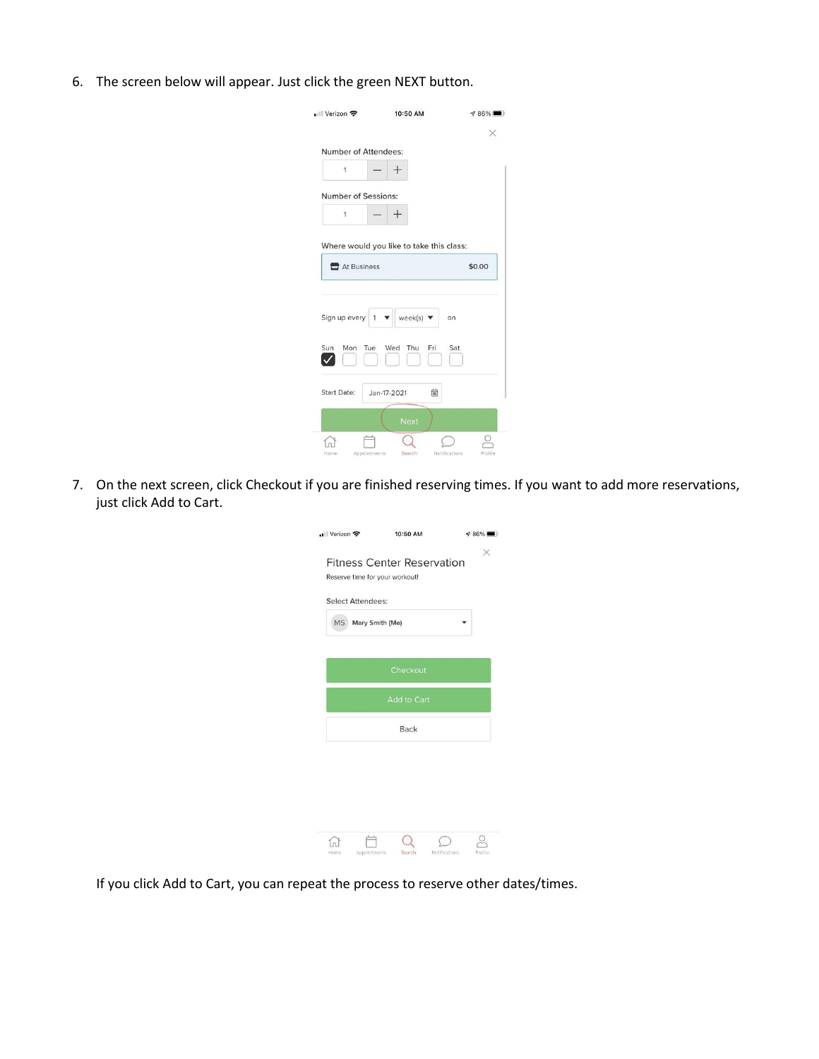6. The screen below will appear. Just click the green NEXT button.

|                            | 10:50 AM                     | $\sqrt{86\%}$ |
|----------------------------|------------------------------|---------------|
|                            |                              | ×             |
| Number of Attendees:       |                              |               |
| 1                          |                              |               |
| <b>Number of Sessions:</b> |                              |               |
| 1                          |                              |               |
| At Business                |                              | \$0.00        |
|                            |                              |               |
| Sign up every<br>1         | week(s) $\blacktriangledown$ | on            |
| Tue<br>Sun<br>Mon          | Wed<br>Thu<br>Fri            | Sat           |
| Start Date:                | 曲<br>Jan-17-2021             |               |
|                            | <b>Next</b>                  |               |

7. On the next screen, click Checkout if you are finished reserving times. If you want to add more reservations, just click Add to Cart.

| •Il Verizon 후                                                                                   |                    | 10:50 AM    |               | $986\%$  |
|-------------------------------------------------------------------------------------------------|--------------------|-------------|---------------|----------|
| <b>Fitness Center Reservation</b><br>Reserve time for your workout!<br><b>Select Attendees:</b> |                    |             |               | $\times$ |
|                                                                                                 | MS Mary Smith (Me) |             |               |          |
|                                                                                                 |                    | Checkout    |               |          |
|                                                                                                 |                    | Add to Cart |               |          |
|                                                                                                 |                    | <b>Back</b> |               |          |
|                                                                                                 |                    |             |               |          |
| Home                                                                                            | Appointments       | Search      | Notifications | Profile  |

If you click Add to Cart, you can repeat the process to reserve other dates/times.